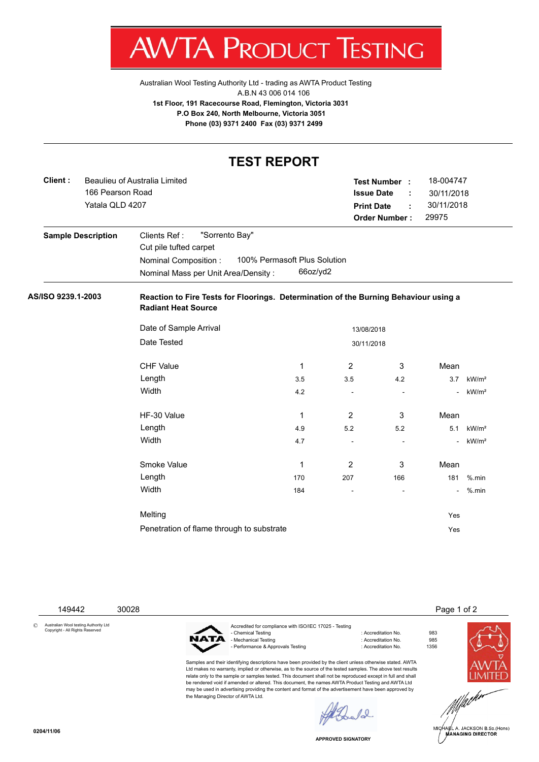V. IΑ ľ 'ROI ונ К ł ESTING

**TEST REPORT**

[Australian Wool Testing Authority Ltd - trading as AWTA Product Testing](http://www.awtaproducttesting.com.au/) A.B.N 43 006 014 106 **1st Floor, 191 Racecourse Road, Flemington, Victoria 3031 P.O Box 240, North Melbourne, Victoria 3051 Phone (03) 9371 2400 Fax (03) 9371 2499**

|                    |                               |                                                                                                                    | IESI KEPURI                  |                          |                          |                                   |                   |  |  |  |
|--------------------|-------------------------------|--------------------------------------------------------------------------------------------------------------------|------------------------------|--------------------------|--------------------------|-----------------------------------|-------------------|--|--|--|
| Client:            | Beaulieu of Australia Limited |                                                                                                                    |                              |                          | <b>Test Number :</b>     | 18-004747                         |                   |  |  |  |
|                    | 166 Pearson Road              |                                                                                                                    |                              |                          | <b>Issue Date</b><br>÷   | 30/11/2018<br>30/11/2018<br>29975 |                   |  |  |  |
|                    | Yatala QLD 4207               |                                                                                                                    |                              |                          | <b>Print Date</b><br>÷   |                                   |                   |  |  |  |
|                    |                               |                                                                                                                    |                              |                          | <b>Order Number:</b>     |                                   |                   |  |  |  |
|                    | <b>Sample Description</b>     | "Sorrento Bay"<br>Clients Ref:                                                                                     |                              |                          |                          |                                   |                   |  |  |  |
|                    |                               | Cut pile tufted carpet                                                                                             |                              |                          |                          |                                   |                   |  |  |  |
|                    |                               | Nominal Composition :                                                                                              | 100% Permasoft Plus Solution |                          |                          |                                   |                   |  |  |  |
|                    |                               | Nominal Mass per Unit Area/Density:                                                                                | 66oz/yd2                     |                          |                          |                                   |                   |  |  |  |
| AS/ISO 9239.1-2003 |                               | Reaction to Fire Tests for Floorings. Determination of the Burning Behaviour using a<br><b>Radiant Heat Source</b> |                              |                          |                          |                                   |                   |  |  |  |
|                    |                               | Date of Sample Arrival                                                                                             |                              |                          | 13/08/2018               |                                   |                   |  |  |  |
|                    |                               | Date Tested<br>30/11/2018                                                                                          |                              |                          |                          |                                   |                   |  |  |  |
|                    |                               | <b>CHF Value</b>                                                                                                   | 1                            | $\overline{2}$           | 3                        | Mean                              |                   |  |  |  |
|                    |                               | Length                                                                                                             | 3.5                          | 3.5                      | 4.2                      | 3.7                               | kW/m <sup>2</sup> |  |  |  |
|                    |                               | Width                                                                                                              | 4.2                          | $\overline{\phantom{a}}$ | $\overline{\phantom{a}}$ | $\blacksquare$                    | kW/m <sup>2</sup> |  |  |  |
|                    |                               | HF-30 Value                                                                                                        | 1                            | $\overline{2}$           | 3                        | Mean                              |                   |  |  |  |
|                    |                               | Length                                                                                                             | 4.9                          | 5.2                      | 5.2                      | 5.1                               | kW/m <sup>2</sup> |  |  |  |
|                    |                               | Width                                                                                                              | 4.7                          | $\overline{\phantom{a}}$ | $\sim$                   |                                   | kW/m <sup>2</sup> |  |  |  |
|                    |                               | Smoke Value                                                                                                        | 1                            | 2                        | 3                        | Mean                              |                   |  |  |  |
|                    |                               | Length                                                                                                             | 170                          | 207                      | 166                      | 181                               | $%$ .min          |  |  |  |
|                    |                               | Width                                                                                                              | 184                          | ä,                       |                          | $\blacksquare$                    | $%$ .min          |  |  |  |
|                    |                               | Melting                                                                                                            |                              |                          |                          | Yes                               |                   |  |  |  |
|                    |                               | Penetration of flame through to substrate                                                                          |                              |                          |                          | Yes                               |                   |  |  |  |
|                    |                               |                                                                                                                    |                              |                          |                          |                                   |                   |  |  |  |

149442 30028 Page 1 of 2

© Australian Wool testing Authority Ltd Copyright - All Rights Reserved

Accredited for compliance with ISO/IEC 17025 - Testing NATA - Mechanical Testing in a state of the control of Accreditation No. 985<br>- Performance & Approvals Testing in the control of Accreditation No. 61356 - Performance & Approvals Testing

Samples and their identifying descriptions have been provided by the client unless otherwise stated. AWTA Ltd makes no warranty, implied or otherwise, as to the source of the tested samples. The above test results relate only to the sample or samples tested. This document shall not be reproduced except in full and shall be rendered void if amended or altered. This document, the names AWTA Product Testing and AWTA Ltd may be used in advertising providing the content and format of the advertisement have been approved by the Managing Director of AWTA Ltd.

: Accreditation No. 983<br>: Accreditation No. 985





.<br>IA∉L A. JACKSON B.Sc.(Hons)<br>MANAGING DIRECTOR

**APPROVED SIGNATORY**

 $\ell_{\infty}$